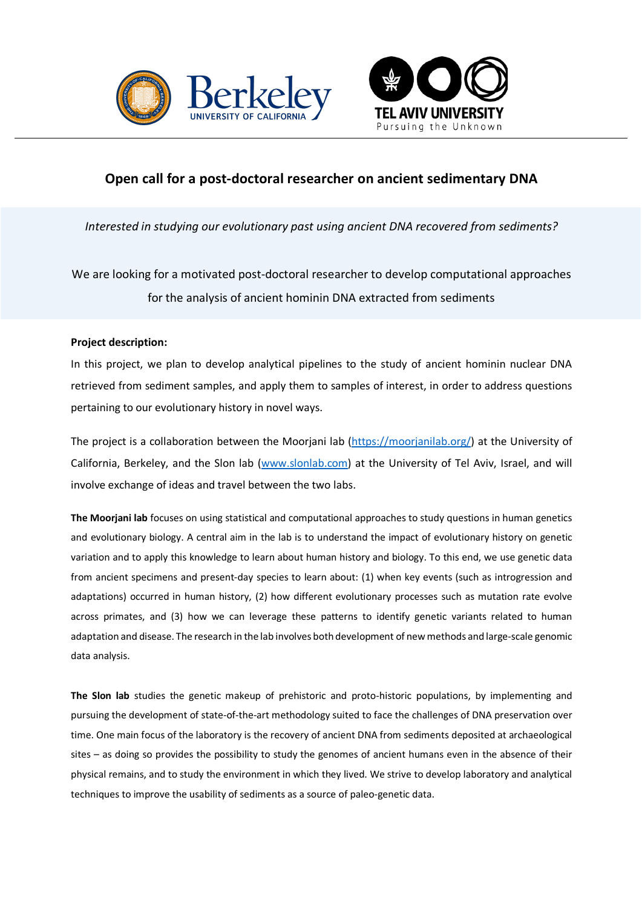



# **Open call for a post-doctoral researcher on ancient sedimentary DNA**

*Interested in studying our evolutionary past using ancient DNA recovered from sediments?*

We are looking for a motivated post-doctoral researcher to develop computational approaches for the analysis of ancient hominin DNA extracted from sediments

# **Project description:**

In this project, we plan to develop analytical pipelines to the study of ancient hominin nuclear DNA retrieved from sediment samples, and apply them to samples of interest, in order to address questions pertaining to our evolutionary history in novel ways.

The project is a collaboration between the Moorjani lab (https://moorjanilab.org/) at the University of California, Berkeley, and the Slon lab (www.slonlab.com) at the University of Tel Aviv, Israel, and will involve exchange of ideas and travel between the two labs.

**The Moorjani lab** focuses on using statistical and computational approaches to study questions in human genetics and evolutionary biology. A central aim in the lab is to understand the impact of evolutionary history on genetic variation and to apply this knowledge to learn about human history and biology. To this end, we use genetic data from ancient specimens and present-day species to learn about: (1) when key events (such as introgression and adaptations) occurred in human history, (2) how different evolutionary processes such as mutation rate evolve across primates, and (3) how we can leverage these patterns to identify genetic variants related to human adaptation and disease. The research in the lab involves both development of new methods and large-scale genomic data analysis.

**The Slon lab** studies the genetic makeup of prehistoric and proto-historic populations, by implementing and pursuing the development of state-of-the-art methodology suited to face the challenges of DNA preservation over time. One main focus of the laboratory is the recovery of ancient DNA from sediments deposited at archaeological sites – as doing so provides the possibility to study the genomes of ancient humans even in the absence of their physical remains, and to study the environment in which they lived. We strive to develop laboratory and analytical techniques to improve the usability of sediments as a source of paleo-genetic data.